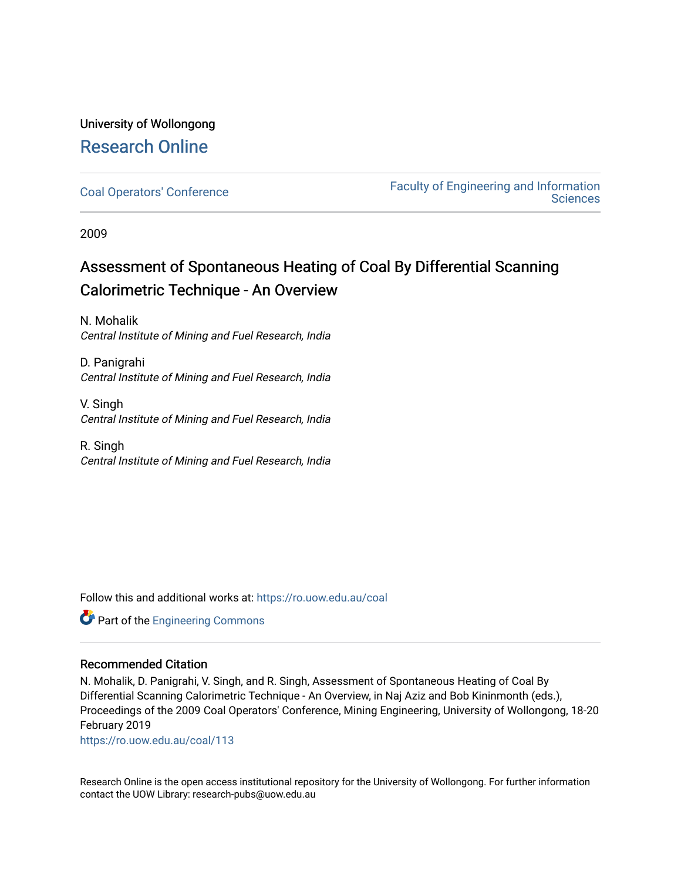# University of Wollongong [Research Online](https://ro.uow.edu.au/)

[Coal Operators' Conference](https://ro.uow.edu.au/coal) [Faculty of Engineering and Information](https://ro.uow.edu.au/eis)  **Sciences** 

2009

# Assessment of Spontaneous Heating of Coal By Differential Scanning Calorimetric Technique - An Overview

N. Mohalik Central Institute of Mining and Fuel Research, India

D. Panigrahi Central Institute of Mining and Fuel Research, India

V. Singh Central Institute of Mining and Fuel Research, India

R. Singh Central Institute of Mining and Fuel Research, India

Follow this and additional works at: [https://ro.uow.edu.au/coal](https://ro.uow.edu.au/coal?utm_source=ro.uow.edu.au%2Fcoal%2F113&utm_medium=PDF&utm_campaign=PDFCoverPages) 

**Part of the [Engineering Commons](http://network.bepress.com/hgg/discipline/217?utm_source=ro.uow.edu.au%2Fcoal%2F113&utm_medium=PDF&utm_campaign=PDFCoverPages)** 

### Recommended Citation

N. Mohalik, D. Panigrahi, V. Singh, and R. Singh, Assessment of Spontaneous Heating of Coal By Differential Scanning Calorimetric Technique - An Overview, in Naj Aziz and Bob Kininmonth (eds.), Proceedings of the 2009 Coal Operators' Conference, Mining Engineering, University of Wollongong, 18-20 February 2019

[https://ro.uow.edu.au/coal/113](https://ro.uow.edu.au/coal/113?utm_source=ro.uow.edu.au%2Fcoal%2F113&utm_medium=PDF&utm_campaign=PDFCoverPages) 

Research Online is the open access institutional repository for the University of Wollongong. For further information contact the UOW Library: research-pubs@uow.edu.au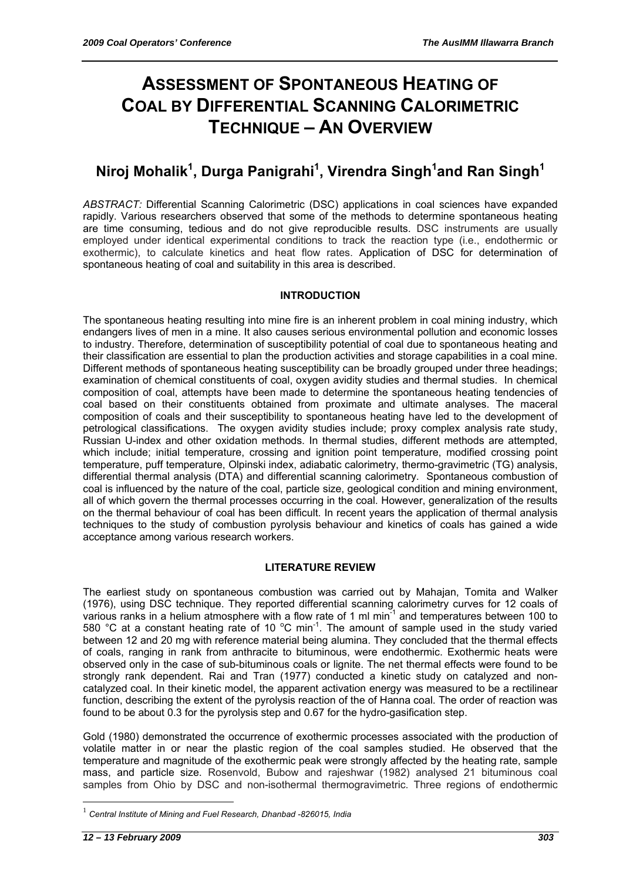# **ASSESSMENT OF SPONTANEOUS HEATING OF COAL BY DIFFERENTIAL SCANNING CALORIMETRIC TECHNIQUE – AN OVERVIEW**

# **Niroj Mohalik<sup>1</sup> , Durga Panigrahi1 , Virendra Singh1 and Ran Singh<sup>1</sup>**

*ABSTRACT:* Differential Scanning Calorimetric (DSC) applications in coal sciences have expanded rapidly. Various researchers observed that some of the methods to determine spontaneous heating are time consuming, tedious and do not give reproducible results. DSC instruments are usually employed under identical experimental conditions to track the reaction type (i.e., endothermic or exothermic), to calculate kinetics and heat flow rates. Application of DSC for determination of spontaneous heating of coal and suitability in this area is described.

# **INTRODUCTION**

The spontaneous heating resulting into mine fire is an inherent problem in coal mining industry, which endangers lives of men in a mine. It also causes serious environmental pollution and economic losses to industry. Therefore, determination of susceptibility potential of coal due to spontaneous heating and their classification are essential to plan the production activities and storage capabilities in a coal mine. Different methods of spontaneous heating susceptibility can be broadly grouped under three headings; examination of chemical constituents of coal, oxygen avidity studies and thermal studies. In chemical composition of coal, attempts have been made to determine the spontaneous heating tendencies of coal based on their constituents obtained from proximate and ultimate analyses. The maceral composition of coals and their susceptibility to spontaneous heating have led to the development of petrological classifications. The oxygen avidity studies include; proxy complex analysis rate study, Russian U-index and other oxidation methods. In thermal studies, different methods are attempted, which include; initial temperature, crossing and ignition point temperature, modified crossing point temperature, puff temperature, Olpinski index, adiabatic calorimetry, thermo-gravimetric (TG) analysis, differential thermal analysis (DTA) and differential scanning calorimetry. Spontaneous combustion of coal is influenced by the nature of the coal, particle size, geological condition and mining environment, all of which govern the thermal processes occurring in the coal. However, generalization of the results on the thermal behaviour of coal has been difficult. In recent years the application of thermal analysis techniques to the study of combustion pyrolysis behaviour and kinetics of coals has gained a wide acceptance among various research workers.

# **LITERATURE REVIEW**

The earliest study on spontaneous combustion was carried out by Mahajan, Tomita and Walker (1976), using DSC technique. They reported differential scanning calorimetry curves for 12 coals of various ranks in a helium atmosphere with a flow rate of 1 ml min-1 and temperatures between 100 to 580 °C at a constant heating rate of 10 °C min<sup>-1</sup>. The amount of sample used in the study varied between 12 and 20 mg with reference material being alumina. They concluded that the thermal effects of coals, ranging in rank from anthracite to bituminous, were endothermic. Exothermic heats were observed only in the case of sub-bituminous coals or lignite. The net thermal effects were found to be strongly rank dependent. Rai and Tran (1977) conducted a kinetic study on catalyzed and noncatalyzed coal. In their kinetic model, the apparent activation energy was measured to be a rectilinear function, describing the extent of the pyrolysis reaction of the of Hanna coal. The order of reaction was found to be about 0.3 for the pyrolysis step and 0.67 for the hydro-gasification step.

Gold (1980) demonstrated the occurrence of exothermic processes associated with the production of volatile matter in or near the plastic region of the coal samples studied. He observed that the temperature and magnitude of the exothermic peak were strongly affected by the heating rate, sample mass, and particle size. Rosenvold, Bubow and rajeshwar (1982) analysed 21 bituminous coal samples from Ohio by DSC and non-isothermal thermogravimetric. Three regions of endothermic

 $\overline{a}$ 

<sup>1</sup> *Central Institute of Mining and Fuel Research, Dhanbad -826015, India*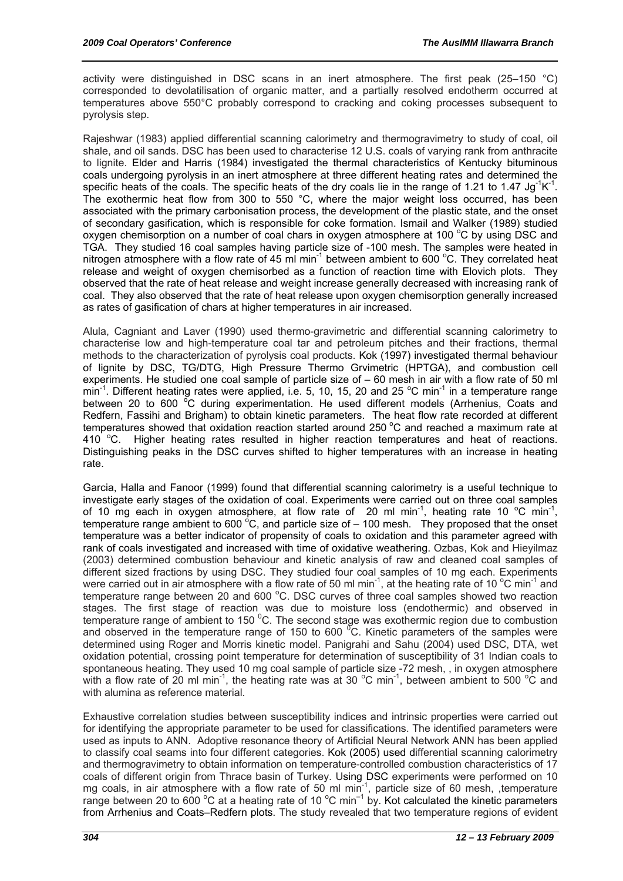activity were distinguished in DSC scans in an inert atmosphere. The first peak (25–150 °C) corresponded to devolatilisation of organic matter, and a partially resolved endotherm occurred at temperatures above 550°C probably correspond to cracking and coking processes subsequent to pyrolysis step.

Rajeshwar (1983) applied differential scanning calorimetry and thermogravimetry to study of coal, oil shale, and oil sands. DSC has been used to characterise 12 U.S. coals of varying rank from anthracite to lignite. Elder and Harris (1984) investigated the thermal characteristics of Kentucky bituminous coals undergoing pyrolysis in an inert atmosphere at three different heating rates and determined the specific heats of the coals. The specific heats of the dry coals lie in the range of 1.21 to 1.47 Jg<sup>-1</sup>K<sup>-1</sup>. The exothermic heat flow from 300 to 550 °C, where the major weight loss occurred, has been associated with the primary carbonisation process, the development of the plastic state, and the onset of secondary gasification, which is responsible for coke formation. Ismail and Walker (1989) studied oxygen chemisorption on a number of coal chars in oxygen atmosphere at 100  $^{\circ}$ C by using DSC and TGA. They studied 16 coal samples having particle size of -100 mesh. The samples were heated in nitrogen atmosphere with a flow rate of 45 ml min<sup>-1</sup> between ambient to 600 °C. They correlated heat release and weight of oxygen chemisorbed as a function of reaction time with Elovich plots. They observed that the rate of heat release and weight increase generally decreased with increasing rank of coal. They also observed that the rate of heat release upon oxygen chemisorption generally increased as rates of gasification of chars at higher temperatures in air increased.

Alula, Cagniant and Laver (1990) used thermo-gravimetric and differential scanning calorimetry to characterise low and high-temperature coal tar and petroleum pitches and their fractions, thermal methods to the characterization of pyrolysis coal products. Kok (1997) investigated thermal behaviour of lignite by DSC, TG/DTG, High Pressure Thermo Grvimetric (HPTGA), and combustion cell experiments. He studied one coal sample of particle size of – 60 mesh in air with a flow rate of 50 ml min<sup>-1</sup>. Different heating rates were applied, i.e. 5, 10, 15, 20 and 25  $^{\circ}$ C min<sup>-1</sup> in a temperature range between 20 to 600 °C during experimentation. He used different models (Arrhenius, Coats and Redfern, Fassihi and Brigham) to obtain kinetic parameters. The heat flow rate recorded at different temperatures showed that oxidation reaction started around 250  $^{\circ}$ C and reached a maximum rate at 410  $^{\circ}$ C. Higher heating rates resulted in higher reaction temperatures and heat of reactions. Distinguishing peaks in the DSC curves shifted to higher temperatures with an increase in heating rate.

Garcia, Halla and Fanoor (1999) found that differential scanning calorimetry is a useful technique to investigate early stages of the oxidation of coal. Experiments were carried out on three coal samples of 10 mg each in oxygen atmosphere, at flow rate of 20 ml min<sup>-1</sup>, heating rate 10 °C min<sup>-1</sup>, temperature range ambient to 600  $\mathrm{^{\circ}C}$ , and particle size of  $-$  100 mesh. They proposed that the onset temperature was a better indicator of propensity of coals to oxidation and this parameter agreed with rank of coals investigated and increased with time of oxidative weathering. Ozbas, Kok and Hieyilmaz (2003) determined combustion behaviour and kinetic analysis of raw and cleaned coal samples of different sized fractions by using DSC. They studied four coal samples of 10 mg each. Experiments were carried out in air atmosphere with a flow rate of 50 ml min<sup>-1</sup>, at the heating rate of 10  $^{\circ}$ C min<sup>-1</sup> and temperature range between 20 and 600 °C. DSC curves of three coal samples showed two reaction stages. The first stage of reaction was due to moisture loss (endothermic) and observed in temperature range of ambient to 150  $^{\circ}$ C. The second stage was exothermic region due to combustion and observed in the temperature range of 150 to 600  $\degree$ C. Kinetic parameters of the samples were determined using Roger and Morris kinetic model. Panigrahi and Sahu (2004) used DSC, DTA, wet oxidation potential, crossing point temperature for determination of susceptibility of 31 Indian coals to spontaneous heating. They used 10 mg coal sample of particle size -72 mesh, , in oxygen atmosphere with a flow rate of 20 ml min<sup>-1</sup>, the heating rate was at 30  $^{\circ}$ C min<sup>-1</sup>, between ambient to 500  $^{\circ}$ C and with alumina as reference material.

Exhaustive correlation studies between susceptibility indices and intrinsic properties were carried out for identifying the appropriate parameter to be used for classifications. The identified parameters were used as inputs to ANN. Adoptive resonance theory of Artificial Neural Network ANN has been applied to classify coal seams into four different categories. Kok (2005) used differential scanning calorimetry and thermogravimetry to obtain information on temperature-controlled combustion characteristics of 17 coals of different origin from Thrace basin of Turkey. Using DSC experiments were performed on 10 mg coals, in air atmosphere with a flow rate of 50 ml min<sup>-1</sup>, particle size of 60 mesh, , temperature range between 20 to 600  $^{\circ}$ C at a heating rate of 10  $^{\circ}$ C min<sup>-1</sup> by. Kot calculated the kinetic parameters from Arrhenius and Coats–Redfern plots. The study revealed that two temperature regions of evident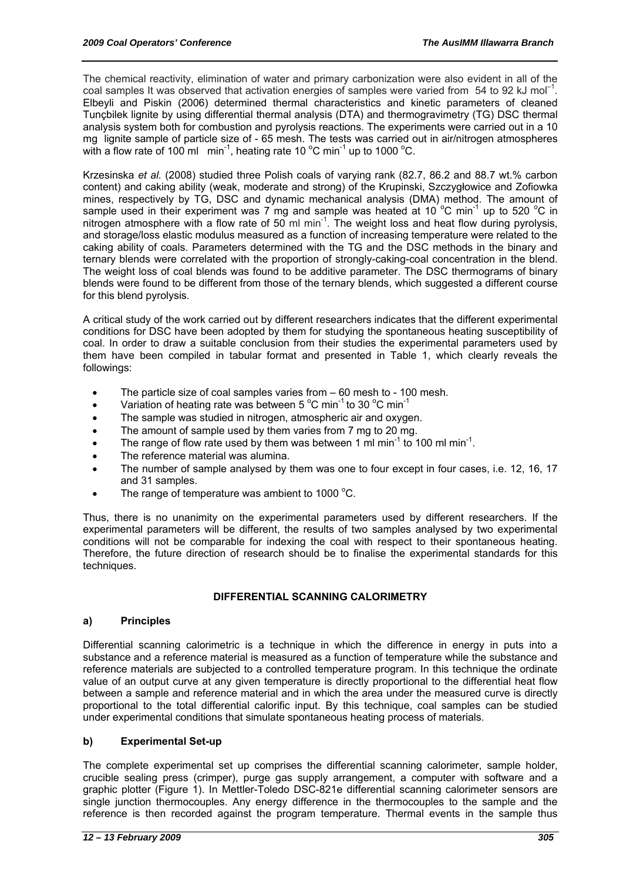The chemical reactivity, elimination of water and primary carbonization were also evident in all of the coal samples It was observed that activation energies of samples were varied from 54 to 92 kJ mol<sup>-1</sup>. Elbeyli and Piskin (2006) determined thermal characteristics and kinetic parameters of cleaned Tunçbilek lignite by using differential thermal analysis (DTA) and thermogravimetry (TG) DSC thermal analysis system both for combustion and pyrolysis reactions. The experiments were carried out in a 10 mg lignite sample of particle size of - 65 mesh. The tests was carried out in air/nitrogen atmospheres with a flow rate of 100 ml  $\,$  min<sup>-1</sup>, heating rate 10  $^{\circ}$ C min<sup>-1</sup> up to 1000  $^{\circ}$ C.

Krzesinska *et al.* (2008) studied three Polish coals of varying rank (82.7, 86.2 and 88.7 wt.% carbon content) and caking ability (weak, moderate and strong) of the Krupinski, Szczygłowice and Zofiowka mines, respectively by TG, DSC and dynamic mechanical analysis (DMA) method. The amount of sample used in their experiment was 7 mg and sample was heated at 10  $^{\circ}$ C min<sup>-1</sup> up to 520  $^{\circ}$ C in nitrogen atmosphere with a flow rate of 50 ml min<sup>-1</sup>. The weight loss and heat flow during pyrolysis, and storage/loss elastic modulus measured as a function of increasing temperature were related to the caking ability of coals. Parameters determined with the TG and the DSC methods in the binary and ternary blends were correlated with the proportion of strongly-caking-coal concentration in the blend. The weight loss of coal blends was found to be additive parameter. The DSC thermograms of binary blends were found to be different from those of the ternary blends, which suggested a different course for this blend pyrolysis.

A critical study of the work carried out by different researchers indicates that the different experimental conditions for DSC have been adopted by them for studying the spontaneous heating susceptibility of coal. In order to draw a suitable conclusion from their studies the experimental parameters used by them have been compiled in tabular format and presented in Table 1, which clearly reveals the followings:

- The particle size of coal samples varies from 60 mesh to 100 mesh.
- Variation of heating rate was between 5  $^{\circ}$ C min<sup>-1</sup> to 30  $^{\circ}$ C min<sup>-1</sup>
- The sample was studied in nitrogen, atmospheric air and oxygen.
- The amount of sample used by them varies from 7 mg to 20 mg.
- The range of flow rate used by them was between 1 ml min<sup>-1</sup> to 100 ml min<sup>-1</sup>.
- The reference material was alumina.
- The number of sample analysed by them was one to four except in four cases, i.e. 12, 16, 17 and 31 samples.
- The range of temperature was ambient to 1000  $^{\circ}$ C.

Thus, there is no unanimity on the experimental parameters used by different researchers. If the experimental parameters will be different, the results of two samples analysed by two experimental conditions will not be comparable for indexing the coal with respect to their spontaneous heating. Therefore, the future direction of research should be to finalise the experimental standards for this techniques.

# **DIFFERENTIAL SCANNING CALORIMETRY**

#### **a) Principles**

Differential scanning calorimetric is a technique in which the difference in energy in puts into a substance and a reference material is measured as a function of temperature while the substance and reference materials are subjected to a controlled temperature program. In this technique the ordinate value of an output curve at any given temperature is directly proportional to the differential heat flow between a sample and reference material and in which the area under the measured curve is directly proportional to the total differential calorific input. By this technique, coal samples can be studied under experimental conditions that simulate spontaneous heating process of materials.

# **b) Experimental Set-up**

The complete experimental set up comprises the differential scanning calorimeter, sample holder, crucible sealing press (crimper), purge gas supply arrangement, a computer with software and a graphic plotter (Figure 1). In Mettler-Toledo DSC-821e differential scanning calorimeter sensors are single junction thermocouples. Any energy difference in the thermocouples to the sample and the reference is then recorded against the program temperature. Thermal events in the sample thus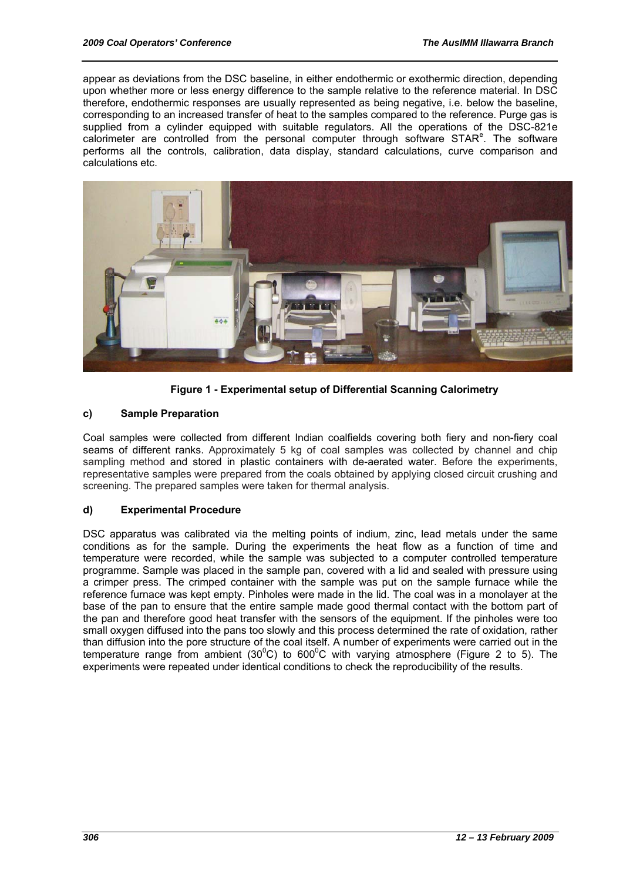appear as deviations from the DSC baseline, in either endothermic or exothermic direction, depending upon whether more or less energy difference to the sample relative to the reference material. In DSC therefore, endothermic responses are usually represented as being negative, i.e. below the baseline, corresponding to an increased transfer of heat to the samples compared to the reference. Purge gas is supplied from a cylinder equipped with suitable regulators. All the operations of the DSC-821e calorimeter are controlled from the personal computer through software STAR<sup>e</sup>. The software performs all the controls, calibration, data display, standard calculations, curve comparison and calculations etc.



**Figure 1 - Experimental setup of Differential Scanning Calorimetry** 

# **c) Sample Preparation**

Coal samples were collected from different Indian coalfields covering both fiery and non-fiery coal seams of different ranks. Approximately 5 kg of coal samples was collected by channel and chip sampling method and stored in plastic containers with de-aerated water. Before the experiments, representative samples were prepared from the coals obtained by applying closed circuit crushing and screening. The prepared samples were taken for thermal analysis.

# **d) Experimental Procedure**

DSC apparatus was calibrated via the melting points of indium, zinc, lead metals under the same conditions as for the sample. During the experiments the heat flow as a function of time and temperature were recorded, while the sample was subjected to a computer controlled temperature programme. Sample was placed in the sample pan, covered with a lid and sealed with pressure using a crimper press. The crimped container with the sample was put on the sample furnace while the reference furnace was kept empty. Pinholes were made in the lid. The coal was in a monolayer at the base of the pan to ensure that the entire sample made good thermal contact with the bottom part of the pan and therefore good heat transfer with the sensors of the equipment. If the pinholes were too small oxygen diffused into the pans too slowly and this process determined the rate of oxidation, rather than diffusion into the pore structure of the coal itself. A number of experiments were carried out in the temperature range from ambient (30<sup>o</sup>C) to 600<sup>o</sup>C with varying atmosphere (Figure 2 to 5). The experiments were repeated under identical conditions to check the reproducibility of the results.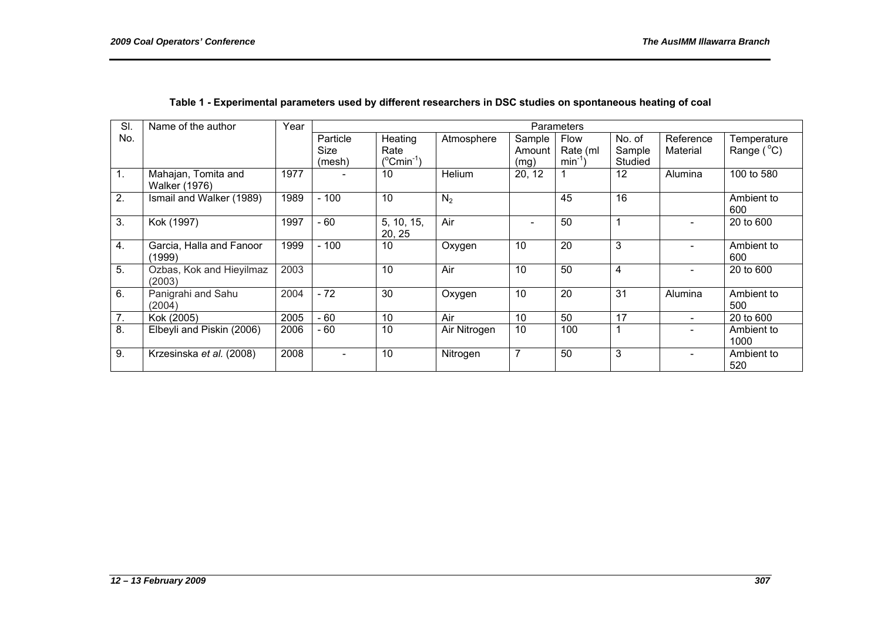| SI.              | Name of the author                   | Year | Parameters                 |                                                     |              |                          |                                       |                             |                          |                                    |
|------------------|--------------------------------------|------|----------------------------|-----------------------------------------------------|--------------|--------------------------|---------------------------------------|-----------------------------|--------------------------|------------------------------------|
| No.              |                                      |      | Particle<br>Size<br>(mesh) | Heating<br>Rate<br>$(^{\circ}$ Cmin <sup>-1</sup> ) | Atmosphere   | Sample<br>Amount<br>(mg) | <b>Flow</b><br>Rate (ml<br>$min^{-1}$ | No. of<br>Sample<br>Studied | Reference<br>Material    | Temperature<br>Range $(^{\circ}C)$ |
| $\mathbf{1}$ .   | Mahajan, Tomita and<br>Walker (1976) | 1977 |                            | 10                                                  | Helium       | 20, 12                   |                                       | 12                          | Alumina                  | 100 to 580                         |
| $\overline{2}$ . | Ismail and Walker (1989)             | 1989 | $-100$                     | 10                                                  | $N_2$        |                          | 45                                    | 16                          |                          | Ambient to<br>600                  |
| $\overline{3}$ . | Kok (1997)                           | 1997 | - 60                       | 5, 10, 15,<br>20, 25                                | Air          |                          | 50                                    |                             |                          | 20 to 600                          |
| $\overline{4}$ . | Garcia, Halla and Fanoor<br>(1999)   | 1999 | $-100$                     | 10                                                  | Oxygen       | 10                       | 20                                    | 3                           |                          | Ambient to<br>600                  |
| 5.               | Ozbas, Kok and Hieyilmaz<br>(2003)   | 2003 |                            | 10                                                  | Air          | 10                       | 50                                    | 4                           |                          | 20 to 600                          |
| $\overline{6}$ . | Panigrahi and Sahu<br>(2004)         | 2004 | $-72$                      | 30                                                  | Oxygen       | 10                       | 20                                    | 31                          | Alumina                  | Ambient to<br>500                  |
| $\overline{7}$ . | Kok (2005)                           | 2005 | - 60                       | 10                                                  | Air          | 10                       | 50                                    | 17                          | $\overline{\phantom{0}}$ | 20 to 600                          |
| 8.               | Elbeyli and Piskin (2006)            | 2006 | - 60                       | 10                                                  | Air Nitrogen | 10                       | 100                                   |                             |                          | Ambient to<br>1000                 |
| 9.               | Krzesinska et al. (2008)             | 2008 |                            | 10                                                  | Nitrogen     | 7                        | 50                                    | 3                           |                          | Ambient to<br>520                  |

### **Table 1 - Experimental parameters used by different researchers in DSC studies on spontaneous heating of coal**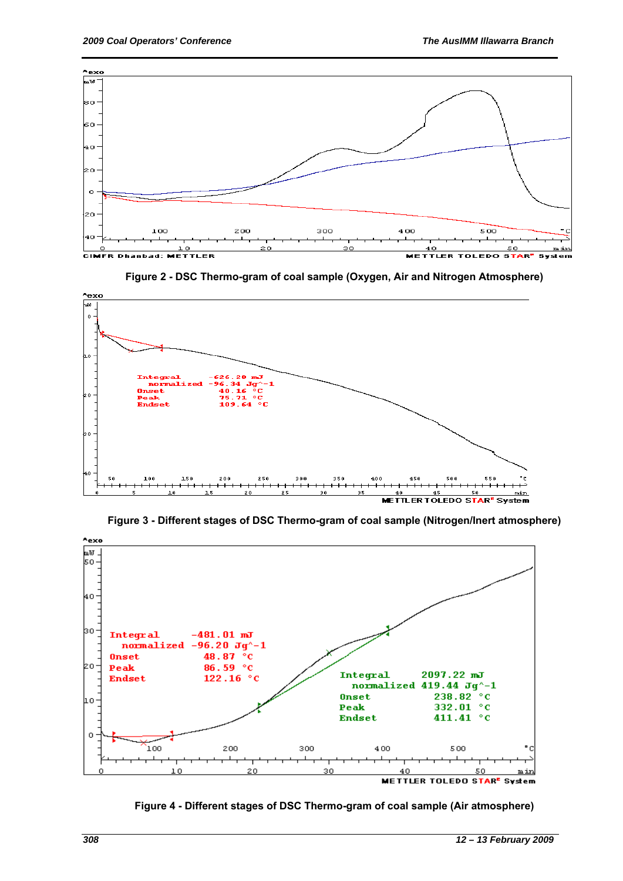

**Figure 2 - DSC Thermo-gram of coal sample (Oxygen, Air and Nitrogen Atmosphere)** 



**Figure 3 - Different stages of DSC Thermo-gram of coal sample (Nitrogen/Inert atmosphere)** 



**Figure 4 - Different stages of DSC Thermo-gram of coal sample (Air atmosphere)**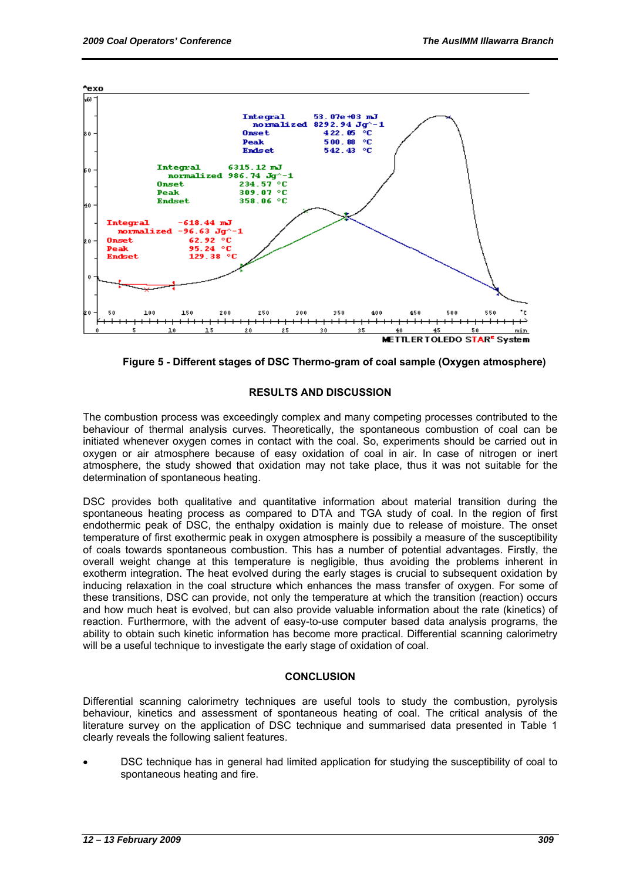

**Figure 5 - Different stages of DSC Thermo-gram of coal sample (Oxygen atmosphere)** 

### **RESULTS AND DISCUSSION**

The combustion process was exceedingly complex and many competing processes contributed to the behaviour of thermal analysis curves. Theoretically, the spontaneous combustion of coal can be initiated whenever oxygen comes in contact with the coal. So, experiments should be carried out in oxygen or air atmosphere because of easy oxidation of coal in air. In case of nitrogen or inert atmosphere, the study showed that oxidation may not take place, thus it was not suitable for the determination of spontaneous heating.

DSC provides both qualitative and quantitative information about material transition during the spontaneous heating process as compared to DTA and TGA study of coal. In the region of first endothermic peak of DSC, the enthalpy oxidation is mainly due to release of moisture. The onset temperature of first exothermic peak in oxygen atmosphere is possibily a measure of the susceptibility of coals towards spontaneous combustion. This has a number of potential advantages. Firstly, the overall weight change at this temperature is negligible, thus avoiding the problems inherent in exotherm integration. The heat evolved during the early stages is crucial to subsequent oxidation by inducing relaxation in the coal structure which enhances the mass transfer of oxygen. For some of these transitions, DSC can provide, not only the temperature at which the transition (reaction) occurs and how much heat is evolved, but can also provide valuable information about the rate (kinetics) of reaction. Furthermore, with the advent of easy-to-use computer based data analysis programs, the ability to obtain such kinetic information has become more practical. Differential scanning calorimetry will be a useful technique to investigate the early stage of oxidation of coal.

#### **CONCLUSION**

Differential scanning calorimetry techniques are useful tools to study the combustion, pyrolysis behaviour, kinetics and assessment of spontaneous heating of coal. The critical analysis of the literature survey on the application of DSC technique and summarised data presented in Table 1 clearly reveals the following salient features.

• DSC technique has in general had limited application for studying the susceptibility of coal to spontaneous heating and fire.